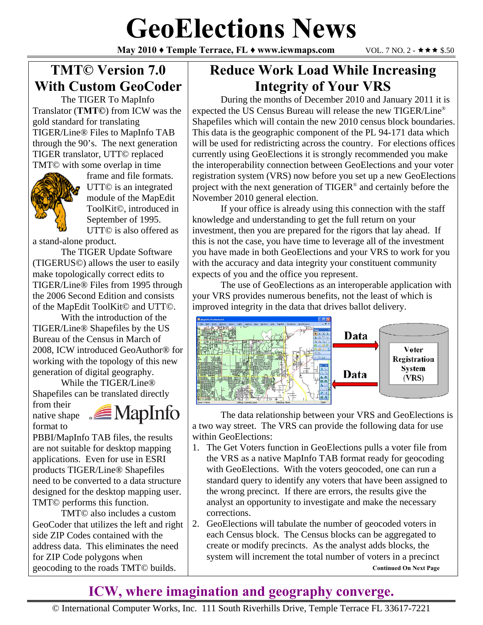# **GeoElections News**

**May 2010 ♦ Temple Terrace, FL ♦ www.icwmaps.com VOL. 7 NO. 2 - ★★★ \$.50** 

### **TMT© Version 7.0 With Custom GeoCoder**

 The TIGER To MapInfo Translator (**TMT©**) from ICW was the gold standard for translating TIGER/Line® Files to MapInfo TAB through the 90's. The next generation TIGER translator, UTT© replaced TMT© with some overlap in time



frame and file formats. UTT© is an integrated module of the MapEdit ToolKit©, introduced in September of 1995. UTT© is also offered as

a stand-alone product.

 The TIGER Update Software (TIGERUS©) allows the user to easily make topologically correct edits to TIGER/Line® Files from 1995 through the 2006 Second Edition and consists of the MapEdit ToolKit© and UTT©.

 With the introduction of the TIGER/Line® Shapefiles by the US Bureau of the Census in March of 2008, ICW introduced GeoAuthor® for working with the topology of this new generation of digital geography.

 While the TIGER/Line® Shapefiles can be translated directly

from their native shape format to



PBBI/MapInfo TAB files, the results are not suitable for desktop mapping applications. Even for use in ESRI products TIGER/Line® Shapefiles need to be converted to a data structure designed for the desktop mapping user. TMT© performs this function.

 TMT© also includes a custom GeoCoder that utilizes the left and right side ZIP Codes contained with the address data. This eliminates the need for ZIP Code polygons when geocoding to the roads TMT© builds.

#### **Reduce Work Load While Increasing Integrity of Your VRS**

 During the months of December 2010 and January 2011 it is expected the US Census Bureau will release the new TIGER/Line® Shapefiles which will contain the new 2010 census block boundaries. This data is the geographic component of the PL 94-171 data which will be used for redistricting across the country. For elections offices currently using GeoElections it is strongly recommended you make the interoperability connection between GeoElections and your voter registration system (VRS) now before you set up a new GeoElections project with the next generation of TIGER® and certainly before the November 2010 general election.

 If your office is already using this connection with the staff knowledge and understanding to get the full return on your investment, then you are prepared for the rigors that lay ahead. If this is not the case, you have time to leverage all of the investment you have made in both GeoElections and your VRS to work for you with the accuracy and data integrity your constituent community expects of you and the office you represent.

 The use of GeoElections as an interoperable application with your VRS provides numerous benefits, not the least of which is improved integrity in the data that drives ballot delivery.



 The data relationship between your VRS and GeoElections is a two way street. The VRS can provide the following data for use within GeoElections:

- 1. The Get Voters function in GeoElections pulls a voter file from the VRS as a native MapInfo TAB format ready for geocoding with GeoElections. With the voters geocoded, one can run a standard query to identify any voters that have been assigned to the wrong precinct. If there are errors, the results give the analyst an opportunity to investigate and make the necessary corrections.
- 2. GeoElections will tabulate the number of geocoded voters in each Census block. The Census blocks can be aggregated to create or modify precincts. As the analyst adds blocks, the system will increment the total number of voters in a precinct **Continued On Next Page**

#### **ICW, where imagination and geography converge.**